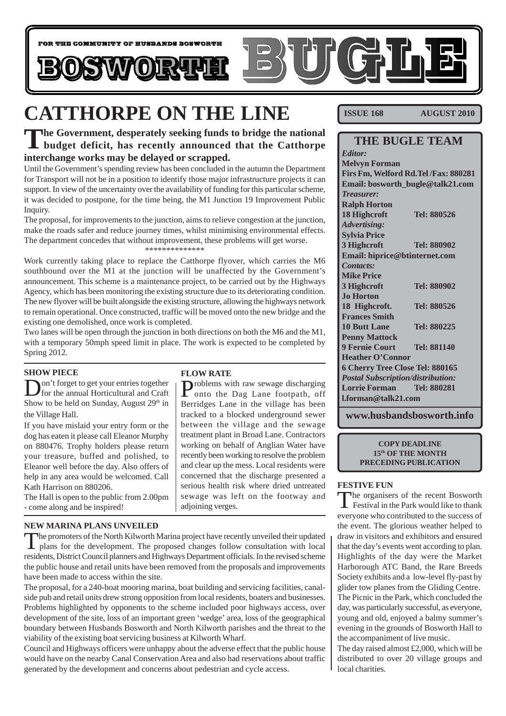

# **CATTHORPE ON THE LINE**

## **The Government, desperately seeking funds to bridge the national budget deficit, has recently announced that the Catthorpe interchange works may be delayed or scrapped.**

Until the Government's spending review has been concluded in the autumn the Department for Transport will not be in a position to identify those major infrastructure projects it can support. In view of the uncertainty over the availability of funding for this particular scheme, it was decided to postpone, for the time being, the M1 Junction 19 Improvement Public Inquiry.

The proposal, for improvements to the junction, aims to relieve congestion at the junction, make the roads safer and reduce journey times, whilst minimising environmental effects. The department concedes that without improvement, these problems will get worse. \*\*\*\*\*\*\*\*\*\*\*\*\*\*

Work currently taking place to replace the Catthorpe flyover, which carries the M6 southbound over the M1 at the junction will be unaffected by the Government's announcement. This scheme is a maintenance project, to be carried out by the Highways Agency, which has been monitoring the existing structure due to its deteriorating condition. The new flyover will be built alongside the existing structure, allowing the highways network to remain operational. Once constructed, traffic will be moved onto the new bridge and the

existing one demolished, once work is completed. Two lanes will be open through the junction in both directions on both the M6 and the M1, with a temporary 50mph speed limit in place. The work is expected to be completed by Spring 2012.

### **SHOW PIECE**

on't forget to get your entries together for the annual Horticultural and Craft Show to be held on Sunday, August  $29<sup>th</sup>$  in the Village Hall.

If you have mislaid your entry form or the dog has eaten it please call Eleanor Murphy on 880476. Trophy holders please return your treasure, buffed and polished, to Eleanor well before the day. Also offers of help in any area would be welcomed. Call Kath Harrison on 880206.

The Hall is open to the public from 2.00pm - come along and be inspired!

#### **NEW MARINA PLANS UNVEILED**

The promoters of the North Kilworth Marina project have recently unveiled their updated  $\blacksquare$  plans for the development. The proposed changes follow consultation with local residents, District Council planners and Highways Department officials. In the revised scheme the public house and retail units have been removed from the proposals and improvements have been made to access within the site.

The proposal, for a 240-boat mooring marina, boat building and servicing facilities, canalside pub and retail units drew strong opposition from local residents, boaters and businesses. Problems highlighted by opponents to the scheme included poor highways access, over development of the site, loss of an important green 'wedge' area, loss of the geographical boundary between Husbands Bosworth and North Kilworth parishes and the threat to the viability of the existing boat servicing business at Kilworth Wharf.

Council and Highways officers were unhappy about the adverse effect that the public house would have on the nearby Canal Conservation Area and also had reservations about traffic generated by the development and concerns about pedestrian and cycle access.

### **FLOW RATE**

Problems with raw sewage discharging onto the Dag Lane footpath, off Berridges Lane in the village has been tracked to a blocked underground sewer between the village and the sewage treatment plant in Broad Lane. Contractors working on behalf of Anglian Water have recently been working to resolve the problem and clear up the mess. Local residents were concerned that the discharge presented a serious health risk where dried untreated sewage was left on the footway and adjoining verges.

**ISSUE 168 AUGUST 2010** 

### **THE BUGLE TEAM**

*Editor:* **Melvyn Forman Firs Fm, Welford Rd.Tel /Fax: 880281 Email: bosworth\_bugle@talk21.com** *Treasurer:* **Ralph Horton 18 Highcroft Tel: 880526** *Advertising:* **Sylvia Price 3 Highcroft Tel: 880902 Email: hiprice@btinternet.com** *Contacts:* **Mike Price 3 Highcroft Tel: 880902 Jo Horton 18 Highcroft. Tel: 880526 Frances Smith 10 Butt Lane Tel: 880225 Penny Mattock 9 Fernie Court Tel: 881140 Heather O'Connor 6 Cherry Tree Close Tel: 880165** *Postal Subscription/distribution:* **Lorrie Forman Tel: 880281 l.forman@talk21.com**

**www.husbandsbosworth.info**

**COPY DEADLINE 15th OF THE MONTH PRECEDING PUBLICATION**

#### **FESTIVE FUN**

The organisers of the recent Bosworth<br>Festival in the Park would like to thank everyone who contributed to the success of the event. The glorious weather helped to draw in visitors and exhibitors and ensured that the day's events went according to plan. Highlights of the day were the Market Harborough ATC Band, the Rare Breeds Society exhibits and a low-level fly-past by glider tow planes from the Gliding Centre. The Picnic in the Park, which concluded the day, was particularly successful, as everyone, young and old, enjoyed a balmy summer's evening in the grounds of Bosworth Hall to the accompaniment of live music.

The day raised almost £2,000, which will be distributed to over 20 village groups and local charities.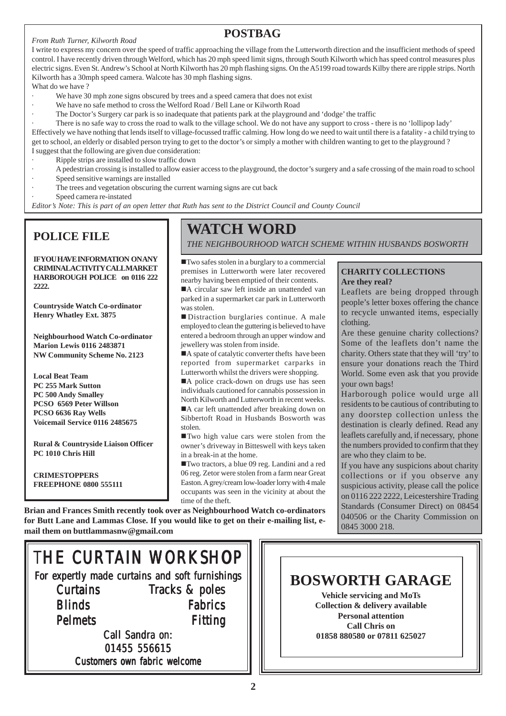#### *From Ruth Turner, Kilworth Road*

### **POSTBAG**

I write to express my concern over the speed of traffic approaching the village from the Lutterworth direction and the insufficient methods of speed control. I have recently driven through Welford, which has 20 mph speed limit signs, through South Kilworth which has speed control measures plus electric signs. Even St. Andrew's School at North Kilworth has 20 mph flashing signs. On the A5199 road towards Kilby there are ripple strips. North Kilworth has a 30mph speed camera. Walcote has 30 mph flashing signs.

What do we have ?

- We have 30 mph zone signs obscured by trees and a speed camera that does not exist
- We have no safe method to cross the Welford Road / Bell Lane or Kilworth Road
- The Doctor's Surgery car park is so inadequate that patients park at the playground and 'dodge' the traffic

· There is no safe way to cross the road to walk to the village school. We do not have any support to cross - there is no 'lollipop lady' Effectively we have nothing that lends itself to village-focussed traffic calming. How long do we need to wait until there is a fatality - a child trying to get to school, an elderly or disabled person trying to get to the doctor's or simply a mother with children wanting to get to the playground ? I suggest that the following are given due consideration:

- Ripple strips are installed to slow traffic down
- · A pedestrian crossing is installed to allow easier access to the playground, the doctor's surgery and a safe crossing of the main road to school
- Speed sensitive warnings are installed
- The trees and vegetation obscuring the current warning signs are cut back
- Speed camera re-instated

*Editor's Note: This is part of an open letter that Ruth has sent to the District Council and County Council*

### **POLICE FILE**

**IFVOUHAVE INFORMATION ON ANY CRIMINAL ACTIVITY CALL MARKET HARBOROUGH POLICE on 0116 222 2222.**

**Countryside Watch Co-ordinator Henry Whatley Ext. 3875**

**Neighbourhood Watch Co-ordinator Marion Lewis 0116 2483871 NW Community Scheme No. 2123**

**Local Beat Team PC 255 Mark Sutton PC 500 Andy Smalley PCSO 6569 Peter Willson PCSO 6636 Ray Wells Voicemail Service 0116 2485675**

**Rural & Countryside Liaison Officer PC 1010 Chris Hill**

**CRIMESTOPPERS FREEPHONE 0800 555111**

## **WATCH WORD**

*THE NEIGHBOURHOOD WATCH SCHEME WITHIN HUSBANDS BOSWORTH*

!Two safes stolen in a burglary to a commercial premises in Lutterworth were later recovered nearby having been emptied of their contents.

A circular saw left inside an unattended van parked in a supermarket car park in Lutterworth was stolen.

! Distraction burglaries continue. A male employed to clean the guttering is believed to have entered a bedroom through an upper window and jewellery was stolen from inside.

A spate of catalytic converter thefts have been reported from supermarket carparks in Lutterworth whilst the drivers were shopping.

A police crack-down on drugs use has seen individuals cautioned for cannabis possession in North Kilworth and Lutterworth in recent weeks. A car left unattended after breaking down on Sibbertoft Road in Husbands Bosworth was

stolen. !Two high value cars were stolen from the owner's driveway in Bitteswell with keys taken in a break-in at the home.

!Two tractors, a blue 09 reg. Landini and a red 06 reg. Zetor were stolen from a farm near Great Easton. A grey/cream low-loader lorry with 4 male occupants was seen in the vicinity at about the time of the theft.

**Brian and Frances Smith recently took over as Neighbourhood Watch co-ordinators for Butt Lane and Lammas Close. If you would like to get on their e-mailing list, email them on buttlammasnw@gmail.com**

### **CHARITY COLLECTIONS Are they real?**

Leaflets are being dropped through people's letter boxes offering the chance to recycle unwanted items, especially clothing.

Are these genuine charity collections? Some of the leaflets don't name the charity. Others state that they will 'try' to ensure your donations reach the Third World. Some even ask that you provide your own bags!

Harborough police would urge all residents to be cautious of contributing to any doorstep collection unless the destination is clearly defined. Read any leaflets carefully and, if necessary, phone the numbers provided to confirm that they are who they claim to be.

If you have any suspicions about charity collections or if you observe any suspicious activity, please call the police on 0116 222 2222, Leicestershire Trading Standards (Consumer Direct) on 08454 040506 or the Charity Commission on 0845 3000 218.

## THE CURTAIN WORKSHOP

For expertly made curtains and soft furnishings **Curtains Blinds Pelmets** Tracks & poles Fabrics Fitting

Call Sandra on: 01455 556615 Customers own fabric welcome

## **BOSWORTH GARAGE**

**Vehicle servicing and MoTs Collection & delivery available Personal attention Call Chris on 01858 880580 or 07811 625027**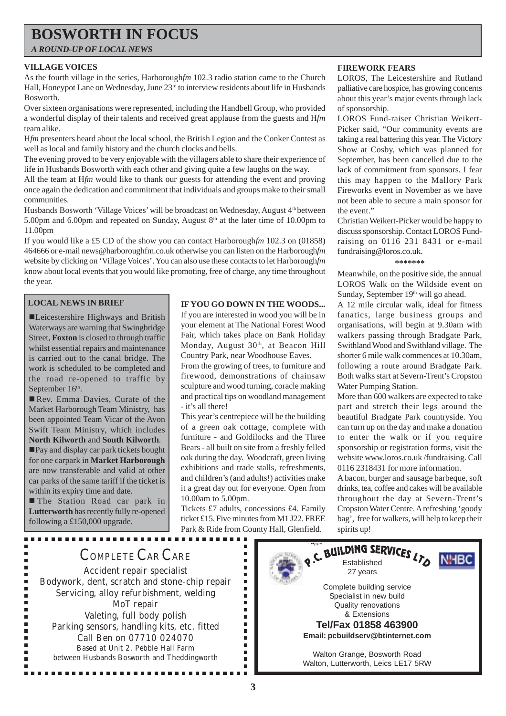## **BOSWORTH IN FOCUS**

*A ROUND-UP OF LOCAL NEWS*

#### **VILLAGE VOICES**

As the fourth village in the series, Harborough*fm* 102.3 radio station came to the Church Hall, Honeypot Lane on Wednesday, June 23<sup>rd</sup> to interview residents about life in Husbands Bosworth.

Over sixteen organisations were represented, including the Handbell Group, who provided a wonderful display of their talents and received great applause from the guests and H*fm* team alike.

H*fm* presenters heard about the local school, the British Legion and the Conker Contest as well as local and family history and the church clocks and bells.

The evening proved to be very enjoyable with the villagers able to share their experience of life in Husbands Bosworth with each other and giving quite a few laughs on the way.

All the team at H*fm* would like to thank our guests for attending the event and proving once again the dedication and commitment that individuals and groups make to their small communities.

Husbands Bosworth 'Village Voices' will be broadcast on Wednesday, August 4<sup>th</sup> between 5.00pm and 6.00pm and repeated on Sunday, August  $8<sup>th</sup>$  at the later time of 10.00pm to 11.00pm

If you would like a £5 CD of the show you can contact Harborough*fm* 102.3 on (01858) 464666 or e-mail news@harboroughfm.co.uk otherwise you can listen on the Harborough*fm* website by clicking on 'Village Voices'. You can also use these contacts to let Harborough*fm* know about local events that you would like promoting, free of charge, any time throughout the year.

#### **LOCAL NEWS IN BRIEF**

■Leicestershire Highways and British Waterways are warning that Swingbridge Street, **Foxton** is closed to through traffic whilst essential repairs and maintenance is carried out to the canal bridge. The work is scheduled to be completed and the road re-opened to traffic by September 16<sup>th</sup>.

Rev. Emma Davies, Curate of the Market Harborough Team Ministry, has been appointed Team Vicar of the Avon Swift Team Ministry, which includes **North Kilworth** and **South Kilworth**.

!Pay and display car park tickets bought for one carpark in **Market Harborough** are now transferable and valid at other car parks of the same tariff if the ticket is within its expiry time and date.

**The Station Road car park in Lutterworth** has recently fully re-opened following a £150,000 upgrade.

Ė

----------------

#### **IF YOU GO DOWN IN THE WOODS...**

If you are interested in wood you will be in your element at The National Forest Wood Fair, which takes place on Bank Holiday Monday, August 30<sup>th</sup>, at Beacon Hill Country Park, near Woodhouse Eaves.

From the growing of trees, to furniture and firewood, demonstrations of chainsaw sculpture and wood turning, coracle making and practical tips on woodland management - it's all there!

This year's centrepiece will be the building of a green oak cottage, complete with furniture - and Goldilocks and the Three Bears - all built on site from a freshly felled oak during the day. Woodcraft, green living exhibitions and trade stalls, refreshments, and children's (and adults!) activities make it a great day out for everyone. Open from 10.00am to 5.00pm.

Tickets £7 adults, concessions £4. Family ticket £15. Five minutes from M1 J22. FREE Park & Ride from County Hall, Glenfield.

> $\blacksquare$  $\blacksquare$  $\blacksquare$  $\blacksquare$  $\blacksquare$  $\blacksquare$  $\blacksquare$ Ξ  $\blacksquare$  $\blacksquare$  $\blacksquare$

> $\blacksquare$  $\blacksquare$  $\blacksquare$  $\blacksquare$  $\blacksquare$  $\blacksquare$

#### **FIREWORK FEARS**

LOROS, The Leicestershire and Rutland palliative care hospice, has growing concerns about this year's major events through lack of sponsorship.

LOROS Fund-raiser Christian Weikert-Picker said, "Our community events are taking a real battering this year. The Victory Show at Cosby, which was planned for September, has been cancelled due to the lack of commitment from sponsors. I fear this may happen to the Mallory Park Fireworks event in November as we have not been able to secure a main sponsor for the event."

Christian Weikert-Picker would be happy to discuss sponsorship. Contact LOROS Fundraising on 0116 231 8431 or e-mail fundraising@loros.co.uk.

#### **\*\*\*\*\*\*\***

Meanwhile, on the positive side, the annual LOROS Walk on the Wildside event on Sunday, September 19<sup>th</sup> will go ahead.

A 12 mile circular walk, ideal for fitness fanatics, large business groups and organisations, will begin at 9.30am with walkers passing through Bradgate Park, Swithland Wood and Swithland village. The shorter 6 mile walk commences at 10.30am, following a route around Bradgate Park. Both walks start at Severn-Trent's Cropston Water Pumping Station.

More than 600 walkers are expected to take part and stretch their legs around the beautiful Bradgate Park countryside. You can turn up on the day and make a donation to enter the walk or if you require sponsorship or registration forms, visit the website www.loros.co.uk /fundraising. Call 0116 2318431 for more information.

A bacon, burger and sausage barbeque, soft drinks, tea, coffee and cakes will be available throughout the day at Severn-Trent's Cropston Water Centre. A refreshing 'goody bag', free for walkers, will help to keep their spirits up!

## COMPLETE CAR CARE

Accident repair specialist Bodywork, dent, scratch and stone-chip repair Servicing, alloy refurbishment, welding MoT repair Valeting, full body polish Parking sensors, handling kits, etc. fitted Call Ben on 07710 024070 Based at Unit 2, Pebble Hall Farm between Husbands Bosworth and Theddingworth

................

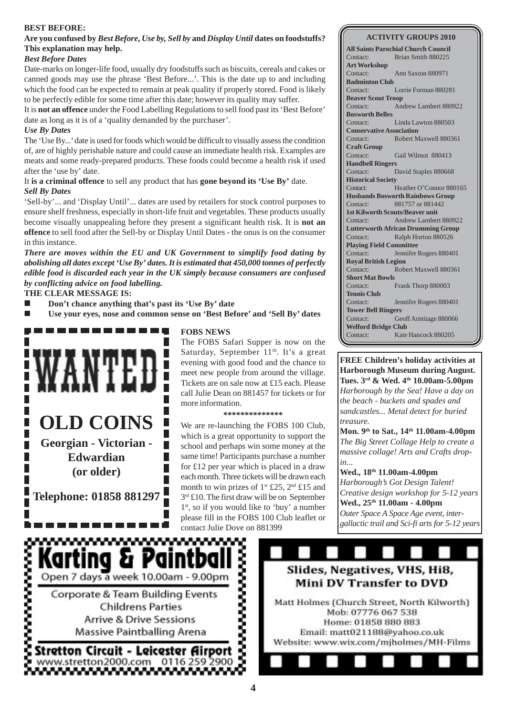#### **BEST BEFORE:**

#### **Are you confused by** *Best Before***,** *Use by, Sell by* **and** *Display Until* **dates on foodstuffs? This explanation may help.**

#### *Best Before Dates*

Date-marks on longer-life food, usually dry foodstuffs such as biscuits, cereals and cakes or canned goods may use the phrase 'Best Before...'. This is the date up to and including which the food can be expected to remain at peak quality if properly stored. Food is likely to be perfectly edible for some time after this date; however its quality may suffer.

It is **not an offence** under the Food Labelling Regulations to sell food past its 'Best Before' date as long as it is of a 'quality demanded by the purchaser'.

#### *Use By Dates*

The 'Use By...' date is used for foods which would be difficult to visually assess the condition of, are of highly perishable nature and could cause an immediate health risk. Examples are meats and some ready-prepared products. These foods could become a health risk if used after the 'use by' date.

It **is a criminal offence** to sell any product that has **gone beyond its 'Use By'** date. *Sell By Dates*

'Sell-by'... and 'Display Until'... dates are used by retailers for stock control purposes to ensure shelf freshness, especially in short-life fruit and vegetables. These products usually become visually unappealing before they present a significant health risk. It is **not an offence** to sell food after the Sell-by or Display Until Dates - the onus is on the consumer in this instance.

*There are moves within the EU and UK Government to simplify food dating by abolishing all dates except 'Use By' dates. It is estimated that 450,000 tonnes of perfectly edible food is discarded each year in the UK simply because consumers are confused by conflicting advice on food labelling.*

#### **THE CLEAR MESSAGE IS:**

- ! **Don't chance anything that's past its 'Use By' date**
- ! **Use your eyes, nose and common sense on 'Best Before' and 'Sell By' dates**



www.www.

#### **FOBS NEWS**

The FOBS Safari Supper is now on the Saturday, September  $11<sup>th</sup>$ . It's a great evening with good food and the chance to meet new people from around the village. Tickets are on sale now at £15 each. Please call Julie Dean on 881457 for tickets or for more information.

#### **\*\*\*\*\*\*\*\*\*\*\*\*\*\***

We are re-launching the FOBS 100 Club, which is a great opportunity to support the school and perhaps win some money at the same time! Participants purchase a number for £12 per year which is placed in a draw each month. Three tickets will be drawn each month to win prizes of  $1^{st}$  £25,  $2^{nd}$  £15 and 3<sup>rd</sup> £10. The first draw will be on September 1<sup>st</sup>, so if you would like to 'buy' a number please fill in the FOBS 100 Club leaflet or contact Julie Dove on 881399

#### **ACTIVITY GROUPS 2010**

**All Saints Parochial Church Council** Contact: Brian Smith 880225 **Art Workshop** Contact: Ann Saxton 880971 **Badminton Club** Contact: Lorrie Forman 880281 **Beaver Scout Troop** Contact: Andrew Lambert 880922 **Bosworth Belles** Contact: Linda Lawton 880503 **Conservative Association** Contact: Robert Maxwell 880361 **Craft Group** Contact: Gail Wilmot 880413 **Handbell Ringers** Contact: David Staples 880668 **Historical Society** Contact: Heather O'Connor 880165 **Husbands Bosworth Rainbows Group** Contact: 881757 or 881442 **1st Kilworth Scouts/Beaver unit** Contact: Andrew Lambert 880922 **Lutterworth African Drumming Group** Contact: Ralph Horton 880526 **Playing Field Committee** Contact: Jennifer Rogers 880401 **Royal British Legion** Contact: Robert Maxwell 880361 **Short Mat Bowls** Contact: Frank Thorp 880003 **Tennis Club** Contact: Jennifer Rogers 880401 **Tower Bell Ringers** Contact: Geoff Armitage 880066 **Welford Bridge Club** Contact: Kate Hancock 880205

**FREE Children's holiday activities at Harborough Museum during August. Tues. 3rd & Wed. 4th 10.00am-5.00pm** *Harborough by the Sea! Have a day on the beach - buckets and spades and sandcastles... Metal detect for buried treasure.*

**Mon. 9th to Sat., 14th 11.00am-4.00pm** *The Big Street Collage Help to create a massive collage! Arts and Crafts dropin...*

**Wed., 18th 11.00am-4.00pm** *Harborough's Got Design Talent! Creative design workshop for 5-12 years* **Wed., 25th 11.00am - 4.00pm** *Outer Space A Space Age event, intergallactic trail and Sci-fi arts for 5-12 years*

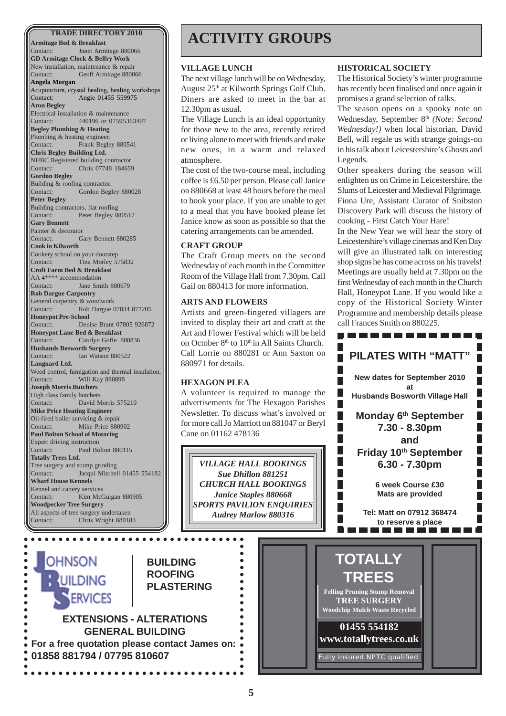**Armitage Bed & Breakfast** Janet Armitage 880066 **GD Armitage Clock & Belfry Work** New installation, maintenance & repair Contact: Geoff Armitage 880066 **Angela Morgan** Acupuncture, crystal healing, healing workshops Contact: Angie 01455 559975 **Aron Begley** Electrical installation & maintenance Contact: 440196 or 07595363407 **Begley Plumbing & Heating** Plumbing & heating engineer. Contact: Frank Begley 880541 **Chris Begley Building Ltd.** NHBC Registered building contractor Contact: Chris 07748 184659 **Gordon Begley** Building & roofing contractor. Contact: Gordon Begley 880028 **Peter Begley** Building contractors, flat roofing Contact: Peter Begley 880517 **Gary Bennett** Painter & decorator Contact: Gary Bennett 880285 **Cook in Kilworth** Cookery school on your doorstep Contact: Tina Morley 575832 **Croft Farm Bed & Breakfast** AA 4\*\*\*\* accommodation Contact: Jane Smith 880679 **Rob Dargue Carpentry** General carpentry & woodwork Contact: Rob Dargue 07834 872205 **Honeypot Pre-School** Contact: Denise Brant 07805 926872 **Honeypot Lane Bed & Breakfast** Contact: Carolyn Goffe 880836 **Husbands Bosworth Surgery** Contact: Ian Watson 880522 **Languard Ltd.** Weed control, fumigation and thermal insulation. Contact: Will Kay 880898 **Joseph Morris Butchers** High class family butchers Contact: David Morris 575210 **Mike Price Heating Engineer** Oil-fired boiler servicing & repair Contact: Mike Price 880902 **Paul Bolton School of Motoring** Expert driving instruction Contact: Paul Bolton 880115 **Totally Trees Ltd.** Tree surgery and stump grinding Contact: Jacqui Mitchell 01455 554182 **Wharf House Kennels** Kennel and cattery services Contact: Kim McGuigan 880905 **Woodpecker Tree Surgery** All aspects of tree surgery undertaken Contact: Chris Wright 880183

## **ACTIVITY GROUPS**

#### **VILLAGE LUNCH**

The next village lunch will be on Wednesday, August 25th at Kilworth Springs Golf Club. Diners are asked to meet in the bar at 12.30pm as usual.

The Village Lunch is an ideal opportunity for those new to the area, recently retired or living alone to meet with friends and make new ones, in a warm and relaxed atmosphere.

The cost of the two-course meal, including coffee is £6.50 per person. Please call Janice on 880668 at least 48 hours before the meal to book your place. If you are unable to get to a meal that you have booked please let Janice know as soon as possible so that the catering arrangements can be amended.

#### **CRAFT GROUP**

The Craft Group meets on the second Wednesday of each month in the Committee Room of the Village Hall from 7.30pm. Call Gail on 880413 for more information.

#### **ARTS AND FLOWERS**

Artists and green-fingered villagers are invited to display their art and craft at the Art and Flower Festival which will be held on October  $8<sup>th</sup>$  to  $10<sup>th</sup>$  in All Saints Church. Call Lorrie on 880281 or Ann Saxton on 880971 for details.

#### **HEXAGON PLEA**

A volunteer is required to manage the advertisements for The Hexagon Parishes Newsletter. To discuss what's involved or for more call Jo Marriott on 881047 or Beryl Cane on 01162 478136

*VILLAGE HALL BOOKINGS Sue Dhillon 881251 CHURCH HALL BOOKINGS Janice Staples 880668 SPORTS PAVILION ENQUIRIES Audrey Marlow 880316*

> $\bullet$  $\bullet$  $\bullet$

> > $\bullet$  $\bullet$

 $\bullet$  $\bullet$ 

#### **HISTORICAL SOCIETY**

The Historical Society's winter programme has recently been finalised and once again it promises a grand selection of talks.

The season opens on a spooky note on Wednesday, September 8<sup>th</sup> *(Note: Second*) *Wednesday!)* when local historian, David Bell, will regale us with strange goings-on in his talk about Leicestershire's Ghosts and Legends.

Other speakers during the season will enlighten us on Crime in Leicestershire, the Slums of Leicester and Medieval Pilgrimage. Fiona Ure, Assistant Curator of Snibston Discovery Park will discuss the history of cooking - First Catch Your Hare!

In the New Year we will hear the story of Leicestershire's village cinemas and Ken Day will give an illustrated talk on interesting shop signs he has come across on his travels! Meetings are usually held at 7.30pm on the first Wednesday of each month in the Church Hall, Honeypot Lane. If you would like a copy of the Historical Society Winter Programme and membership details please call Frances Smith on 880225.



**OHNSON** UILDING **ERVICES** 

ä

**BUILDING ROOFING PLASTERING**

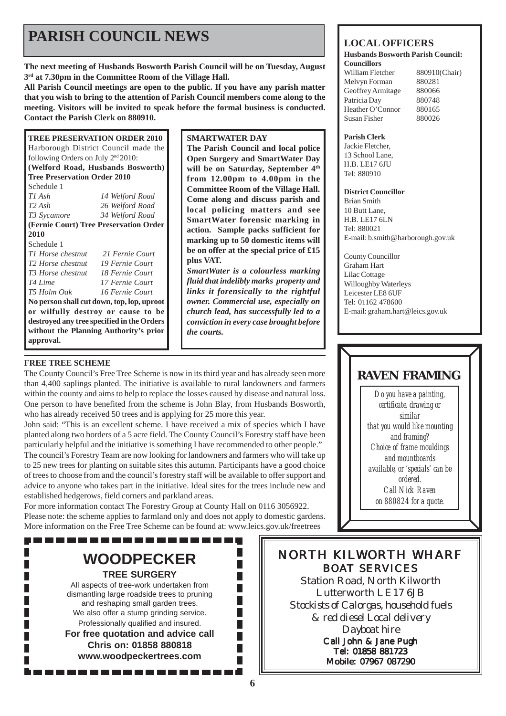## **PARISH COUNCIL NEWS** LOCAL OFFICERS

**The next meeting of Husbands Bosworth Parish Council will be on Tuesday, August 3rd at 7.30pm in the Committee Room of the Village Hall.**

**All Parish Council meetings are open to the public. If you have any parish matter that you wish to bring to the attention of Parish Council members come along to the meeting. Visitors will be invited to speak before the formal business is conducted. Contact the Parish Clerk on 880910.**

| <b>TREE PRESERVATION ORDER 2010</b>            |                 |  |
|------------------------------------------------|-----------------|--|
| Harborough District Council made the           |                 |  |
| following Orders on July 2 <sup>nd</sup> 2010: |                 |  |
| (Welford Road, Husbands Bosworth)              |                 |  |
| <b>Tree Preservation Order 2010</b>            |                 |  |
| Schedule 1                                     |                 |  |
| $T1$ Ash                                       | 14 Welford Road |  |
| $T2$ Ash                                       | 26 Welford Road |  |
| T3 Sycamore                                    | 34 Welford Road |  |
| (Fernie Court) Tree Preservation Order         |                 |  |
| 2010                                           |                 |  |
| Schedule 1                                     |                 |  |
| T1 Horse chestnut 21 Fernie Court              |                 |  |
| T2 Horse chestnut                              | 19 Fernie Court |  |
| T3 Horse chestnut 18 Fernie Court              |                 |  |
| T4 Lime                                        | 17 Fernie Court |  |
| T5 Holm Oak                                    | 16 Fernie Court |  |
| No person shall cut down, top, lop, uproot     |                 |  |
| or wilfully destroy or cause to be             |                 |  |
| destroyed any tree specified in the Orders     |                 |  |
| without the Planning Authority's prior         |                 |  |
| approval.                                      |                 |  |

#### **SMARTWATER DAY**

**The Parish Council and local police Open Surgery and SmartWater Day will be on Saturday, September 4th from 12.00pm to 4.00pm in the Committee Room of the Village Hall. Come along and discuss parish and local policing matters and see SmartWater forensic marking in action. Sample packs sufficient for marking up to 50 domestic items will be on offer at the special price of £15 plus VAT.**

*SmartWater is a colourless marking fluid that indelibly marks property and links it forensically to the rightful owner. Commercial use, especially on church lead, has successfully led to a conviction in every case brought before the courts.*

#### **FREE TREE SCHEME**

Г

The County Council's Free Tree Scheme is now in its third year and has already seen more than 4,400 saplings planted. The initiative is available to rural landowners and farmers within the county and aims to help to replace the losses caused by disease and natural loss. One person to have benefited from the scheme is John Blay, from Husbands Bosworth, who has already received 50 trees and is applying for 25 more this year.

John said: "This is an excellent scheme. I have received a mix of species which I have planted along two borders of a 5 acre field. The County Council's Forestry staff have been particularly helpful and the initiative is something I have recommended to other people." The council's Forestry Team are now looking for landowners and farmers who will take up to 25 new trees for planting on suitable sites this autumn. Participants have a good choice of trees to choose from and the council's forestry staff will be available to offer support and advice to anyone who takes part in the initiative. Ideal sites for the trees include new and established hedgerows, field corners and parkland areas.

For more information contact The Forestry Group at County Hall on 0116 3056922. Please note: the scheme applies to farmland only and does not apply to domestic gardens. More information on the Free Tree Scheme can be found at: www.leics.gov.uk/freetrees

## **WOODPECKER**

------------------

**TREE SURGERY** All aspects of tree-work undertaken from

dismantling large roadside trees to pruning and reshaping small garden trees. We also offer a stump grinding service. Professionally qualified and insured. **For free quotation and advice call Chris on: 01858 880818 www.woodpeckertrees.com**

**Husbands Bosworth Parish Council: Councillors**

William Fletcher 880910(Chair) Melvyn Forman 880281 Geoffrey Armitage 880066 Patricia Day 880748 Heather O'Connor 880165 Susan Fisher 880026

#### **Parish Clerk**

Jackie Fletcher, 13 School Lane, H.B. LE17 6JU Tel: 880910

#### **District Councillor**

Brian Smith 10 Butt Lane, H.B. LE17 6LN Tel: 880021 E-mail: b.smith@harborough.gov.uk

County Councillor Graham Hart Lilac Cottage Willoughby Waterleys Leicester LE8 6UF Tel: 01162 478600 E-mail: graham.hart@leics.gov.uk

### **RAVEN FRAMING**

*Do you have a painting, certificate, drawing or similar that you would like mounting and framing? Choice of frame mouldings and mountboards available, or 'specials' can be ordered. Call Nick Raven on 880824 for a quote.*

### NORTH KILWORTH WHARF BOAT SERVICES

Station Road, North Kilworth Lutterworth LE17 6JB *Stockists of Calorgas, household fuels & red diesel Local delivery Dayboat hire* Call John & Jane Pugh Tel: 01858 881723

Mobile: 07967 087290

 $\Box$ П  $\Box$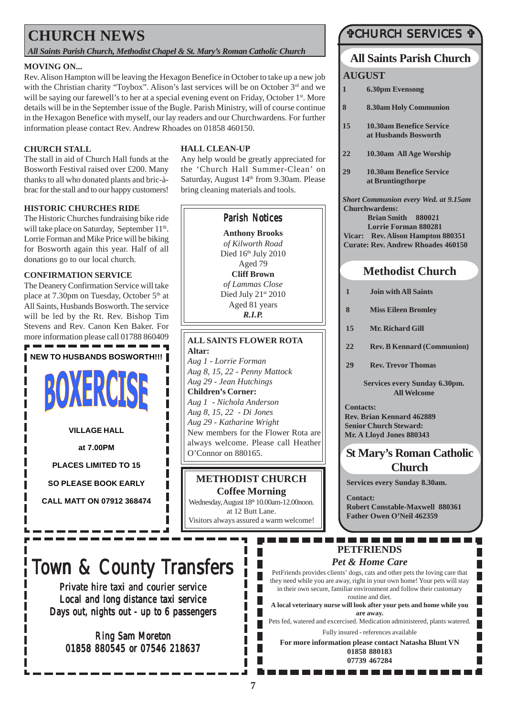## **CHURCH NEWS**

*All Saints Parish Church, Methodist Chapel & St. Mary's Roman Catholic Church*

#### **MOVING ON...**

Rev. Alison Hampton will be leaving the Hexagon Benefice in October to take up a new job with the Christian charity "Toybox". Alison's last services will be on October 3<sup>rd</sup> and we will be saying our farewell's to her at a special evening event on Friday, October 1<sup>st</sup>. More details will be in the September issue of the Bugle. Parish Ministry, will of course continue in the Hexagon Benefice with myself, our lay readers and our Churchwardens. For further information please contact Rev. Andrew Rhoades on 01858 460150.

#### **CHURCH STALL**

The stall in aid of Church Hall funds at the Bosworth Festival raised over £200. Many thanks to all who donated plants and bric-àbrac for the stall and to our happy customers!

#### **HISTORIC CHURCHES RIDE**

The Historic Churches fundraising bike ride will take place on Saturday, September 11<sup>th</sup>. Lorrie Forman and Mike Price will be biking for Bosworth again this year. Half of all donations go to our local church.

#### **CONFIRMATION SERVICE**

The Deanery Confirmation Service will take place at 7.30pm on Tuesday, October 5<sup>th</sup> at All Saints, Husbands Bosworth. The service will be led by the Rt. Rev. Bishop Tim Stevens and Rev. Canon Ken Baker. For more information please call 01788 860409

**NEW TO HUSBANDS BOSWORTH!!!**



**VILLAGE HALL**

**at 7.00PM**

**PLACES LIMITED TO 15**

**SO PLEASE BOOK EARLY**

**CALL MATT ON 07912 368474**

#### **HALL CLEAN-UP**

Any help would be greatly appreciated for the 'Church Hall Summer-Clean' on Saturday, August 14<sup>th</sup> from 9.30am. Please bring cleaning materials and tools.

### Parish Notices

**Anthony Brooks** *of Kilworth Road* Died 16th July 2010 Aged 79 **Cliff Brown** *of Lammas Close* Died July 21st 2010 Aged 81 years *R.I.P.*

#### **ALL SAINTS FLOWER ROTA Altar:**

*Aug 1 - Lorrie Forman Aug 8, 15, 22 - Penny Mattock Aug 29 - Jean Hutchings* **Children's Corner:** *Aug 1 - Nichola Anderson Aug 8, 15, 22 - Di Jones Aug 29 - Katharine Wright* New members for the Flower Rota are always welcome. Please call Heather O'Connor on 880165.

### **METHODIST CHURCH**

**Coffee Morning** Wednesday, August 18<sup>th</sup> 10.00am-12.00noon. at 12 Butt Lane. Visitors always assured a warm welcome!

# Town & County Transfers

Private hire taxi and courier service Local and long distance taxi service Days out, nights out - up to 6 passengers

Ring Sam Moreton 01858 880545 or 07546 218637

### "CHURCH SERVICES "

## **All Saints Parish Church**

### **AUGUST**

- **1 6.30pm Evensong**
- **8 8.30am Holy Communion**
- **15 10.30am Benefice Service at Husbands Bosworth**
- **22 10.30am All Age Worship**
- **29 10.30am Benefice Service at Bruntingthorpe**

*Short Communion every Wed. at 9.15am* **Churchwardens: Brian Smith 880021 Lorrie Forman 880281 Vicar: Rev. Alison Hampton 880351 Curate: Rev. Andrew Rhoades 460150**

### **Methodist Church**

- **1 Join with All Saints**
- **8 Miss Eileen Bromley**
- **15 Mr. Richard Gill**
- **22 Rev. B Kennard (Communion)**
- **29 Rev. Trevor Thomas**

**Services every Sunday 6.30pm. All Welcome**

**Contacts: Rev. Brian Kennard 462889 Senior Church Steward: Mr. A Lloyd Jones 880343**

### **St Mary's Roman Catholic Church**

**Services every Sunday 8.30am.**

**Contact: Robert Constable-Maxwell 880361 Father Owen O'Neil 462359**

П

## **PETFRIENDS**

### *Pet & Home Care*

PetFriends provides clients' dogs, cats and other pets the loving care that they need while you are away, right in your own home! Your pets will stay in their own secure, familiar environment and follow their customary routine and diet.

**A local veterinary nurse will look after your pets and home while you are away.**

Pets fed, watered and excercised. Medication administered, plants watered. Fully insured - references available

**For more information please contact Natasha Blunt VN 01858 880183 07739 467284**

. . . . . . . . . . . .